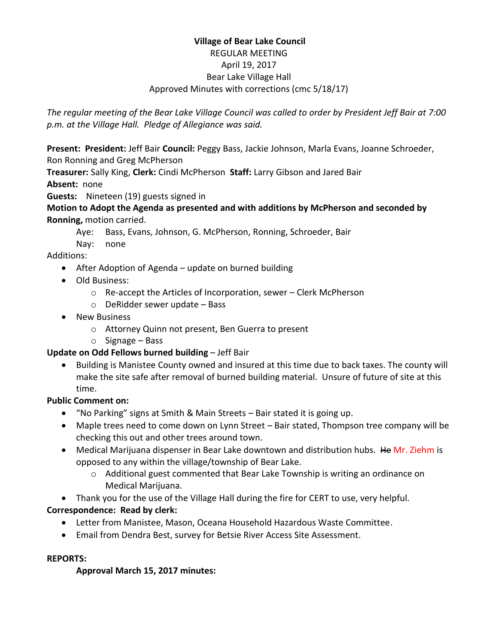## **Village of Bear Lake Council** REGULAR MEETING April 19, 2017 Bear Lake Village Hall Approved Minutes with corrections (cmc 5/18/17)

*The regular meeting of the Bear Lake Village Council was called to order by President Jeff Bair at 7:00 p.m. at the Village Hall. Pledge of Allegiance was said.*

**Present: President:** Jeff Bair **Council:** Peggy Bass, Jackie Johnson, Marla Evans, Joanne Schroeder, Ron Ronning and Greg McPherson

**Treasurer:** Sally King, **Clerk:** Cindi McPherson **Staff:** Larry Gibson and Jared Bair **Absent:** none

**Guests:** Nineteen (19) guests signed in

**Motion to Adopt the Agenda as presented and with additions by McPherson and seconded by Ronning,** motion carried.

- Aye: Bass, Evans, Johnson, G. McPherson, Ronning, Schroeder, Bair
- Nay: none

Additions:

- After Adoption of Agenda update on burned building
- Old Business:
	- o Re-accept the Articles of Incorporation, sewer Clerk McPherson
	- o DeRidder sewer update Bass
- New Business
	- o Attorney Quinn not present, Ben Guerra to present
	- o Signage Bass

## **Update on Odd Fellows burned building** – Jeff Bair

 Building is Manistee County owned and insured at this time due to back taxes. The county will make the site safe after removal of burned building material. Unsure of future of site at this time.

## **Public Comment on:**

- "No Parking" signs at Smith & Main Streets Bair stated it is going up.
- Maple trees need to come down on Lynn Street Bair stated, Thompson tree company will be checking this out and other trees around town.
- Medical Marijuana dispenser in Bear Lake downtown and distribution hubs. He Mr. Ziehm is opposed to any within the village/township of Bear Lake.
	- o Additional guest commented that Bear Lake Township is writing an ordinance on Medical Marijuana.
- Thank you for the use of the Village Hall during the fire for CERT to use, very helpful.

## **Correspondence: Read by clerk:**

- Letter from Manistee, Mason, Oceana Household Hazardous Waste Committee.
- Email from Dendra Best, survey for Betsie River Access Site Assessment.

## **REPORTS:**

## **Approval March 15, 2017 minutes:**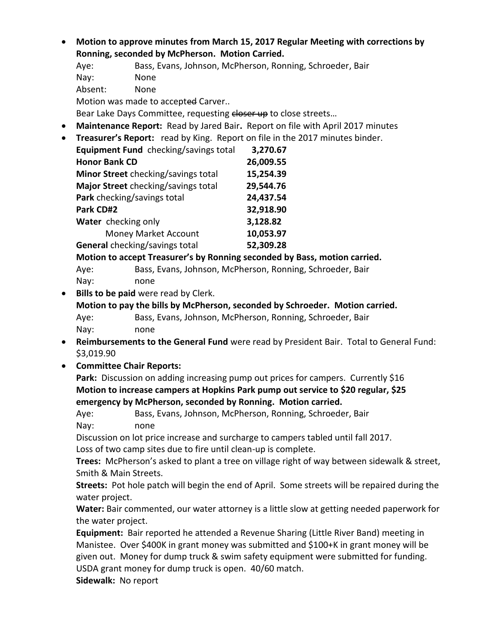- **Motion to approve minutes from March 15, 2017 Regular Meeting with corrections by Ronning, seconded by McPherson. Motion Carried.**
	- Aye: Bass, Evans, Johnson, McPherson, Ronning, Schroeder, Bair
	- Nay: None
	- Absent: None

Motion was made to accepted Carver..

Bear Lake Days Committee, requesting closer up to close streets...

- **Maintenance Report:** Read by Jared Bair**.** Report on file with April 2017 minutes
- **Treasurer's Report:** read by King. Report on file in the 2017 minutes binder.

| Equipment Fund checking/savings total | 3,270.67  |
|---------------------------------------|-----------|
| <b>Honor Bank CD</b>                  | 26,009.55 |
| Minor Street checking/savings total   | 15,254.39 |
| Major Street checking/savings total   | 29,544.76 |
| Park checking/savings total           | 24,437.54 |
| Park CD#2                             | 32,918.90 |
| Water checking only                   | 3,128.82  |
| <b>Money Market Account</b>           | 10,053.97 |
| General checking/savings total        | 52,309.28 |

**Motion to accept Treasurer's by Ronning seconded by Bass, motion carried.**

Aye: Bass, Evans, Johnson, McPherson, Ronning, Schroeder, Bair Nay: none

**Bills to be paid** were read by Clerk.

**Motion to pay the bills by McPherson, seconded by Schroeder. Motion carried.** Aye: Bass, Evans, Johnson, McPherson, Ronning, Schroeder, Bair Nay: none

- **Reimbursements to the General Fund** were read by President Bair. Total to General Fund: \$3,019.90
- **Committee Chair Reports:**

**Park:** Discussion on adding increasing pump out prices for campers. Currently \$16 **Motion to increase campers at Hopkins Park pump out service to \$20 regular, \$25 emergency by McPherson, seconded by Ronning. Motion carried.**

Aye: Bass, Evans, Johnson, McPherson, Ronning, Schroeder, Bair Nay: none

Discussion on lot price increase and surcharge to campers tabled until fall 2017.

Loss of two camp sites due to fire until clean-up is complete.

**Trees:** McPherson's asked to plant a tree on village right of way between sidewalk & street, Smith & Main Streets.

**Streets:** Pot hole patch will begin the end of April. Some streets will be repaired during the water project.

**Water:** Bair commented, our water attorney is a little slow at getting needed paperwork for the water project.

**Equipment:** Bair reported he attended a Revenue Sharing (Little River Band) meeting in Manistee. Over \$400K in grant money was submitted and \$100+K in grant money will be given out. Money for dump truck & swim safety equipment were submitted for funding. USDA grant money for dump truck is open. 40/60 match.

**Sidewalk:** No report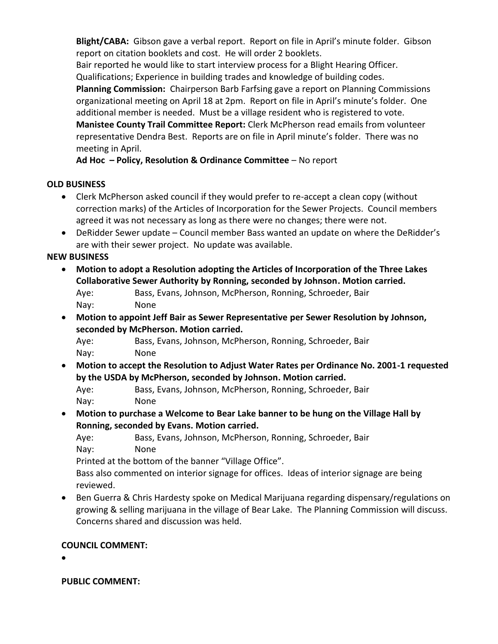**Blight/CABA:** Gibson gave a verbal report. Report on file in April's minute folder. Gibson report on citation booklets and cost. He will order 2 booklets.

Bair reported he would like to start interview process for a Blight Hearing Officer. Qualifications; Experience in building trades and knowledge of building codes.

**Planning Commission:** Chairperson Barb Farfsing gave a report on Planning Commissions organizational meeting on April 18 at 2pm. Report on file in April's minute's folder. One additional member is needed. Must be a village resident who is registered to vote. **Manistee County Trail Committee Report:** Clerk McPherson read emails from volunteer representative Dendra Best. Reports are on file in April minute's folder. There was no meeting in April.

**Ad Hoc – Policy, Resolution & Ordinance Committee** – No report

## **OLD BUSINESS**

- Clerk McPherson asked council if they would prefer to re-accept a clean copy (without correction marks) of the Articles of Incorporation for the Sewer Projects. Council members agreed it was not necessary as long as there were no changes; there were not.
- DeRidder Sewer update Council member Bass wanted an update on where the DeRidder's are with their sewer project. No update was available.

# **NEW BUSINESS**

- **Motion to adopt a Resolution adopting the Articles of Incorporation of the Three Lakes Collaborative Sewer Authority by Ronning, seconded by Johnson. Motion carried.** Aye: Bass, Evans, Johnson, McPherson, Ronning, Schroeder, Bair Nay: None
- **Motion to appoint Jeff Bair as Sewer Representative per Sewer Resolution by Johnson, seconded by McPherson. Motion carried.**

Aye: Bass, Evans, Johnson, McPherson, Ronning, Schroeder, Bair Nay: None

 **Motion to accept the Resolution to Adjust Water Rates per Ordinance No. 2001-1 requested by the USDA by McPherson, seconded by Johnson. Motion carried.**

Aye: Bass, Evans, Johnson, McPherson, Ronning, Schroeder, Bair Nay: None

 **Motion to purchase a Welcome to Bear Lake banner to be hung on the Village Hall by Ronning, seconded by Evans. Motion carried.** 

Aye: Bass, Evans, Johnson, McPherson, Ronning, Schroeder, Bair Nay: None

Printed at the bottom of the banner "Village Office".

Bass also commented on interior signage for offices. Ideas of interior signage are being reviewed.

 Ben Guerra & Chris Hardesty spoke on Medical Marijuana regarding dispensary/regulations on growing & selling marijuana in the village of Bear Lake. The Planning Commission will discuss. Concerns shared and discussion was held.

# **COUNCIL COMMENT:**

 $\bullet$ 

**PUBLIC COMMENT:**